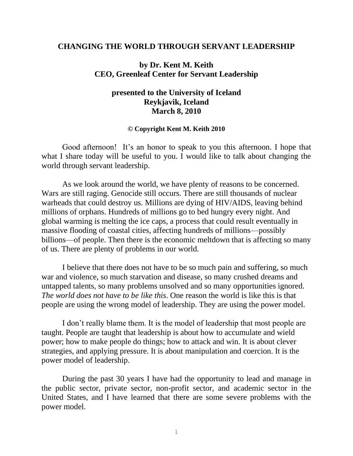### **CHANGING THE WORLD THROUGH SERVANT LEADERSHIP**

# **by Dr. Kent M. Keith CEO, Greenleaf Center for Servant Leadership**

# **presented to the University of Iceland Reykjavik, Iceland March 8, 2010**

#### **© Copyright Kent M. Keith 2010**

Good afternoon! It's an honor to speak to you this afternoon. I hope that what I share today will be useful to you. I would like to talk about changing the world through servant leadership.

As we look around the world, we have plenty of reasons to be concerned. Wars are still raging. Genocide still occurs. There are still thousands of nuclear warheads that could destroy us. Millions are dying of HIV/AIDS, leaving behind millions of orphans. Hundreds of millions go to bed hungry every night. And global warming is melting the ice caps, a process that could result eventually in massive flooding of coastal cities, affecting hundreds of millions—possibly billions—of people. Then there is the economic meltdown that is affecting so many of us. There are plenty of problems in our world.

I believe that there does not have to be so much pain and suffering, so much war and violence, so much starvation and disease, so many crushed dreams and untapped talents, so many problems unsolved and so many opportunities ignored. *The world does not have to be like this*. One reason the world is like this is that people are using the wrong model of leadership. They are using the power model.

I don't really blame them. It is the model of leadership that most people are taught. People are taught that leadership is about how to accumulate and wield power; how to make people do things; how to attack and win. It is about clever strategies, and applying pressure. It is about manipulation and coercion. It is the power model of leadership.

During the past 30 years I have had the opportunity to lead and manage in the public sector, private sector, non-profit sector, and academic sector in the United States, and I have learned that there are some severe problems with the power model.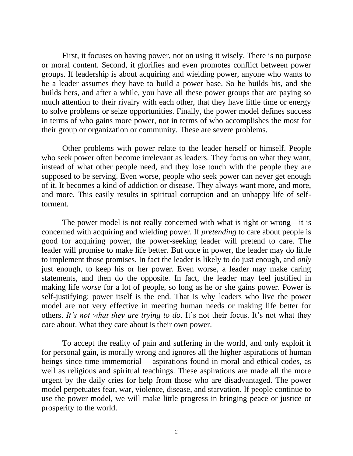First, it focuses on having power, not on using it wisely. There is no purpose or moral content. Second, it glorifies and even promotes conflict between power groups. If leadership is about acquiring and wielding power, anyone who wants to be a leader assumes they have to build a power base. So he builds his, and she builds hers, and after a while, you have all these power groups that are paying so much attention to their rivalry with each other, that they have little time or energy to solve problems or seize opportunities. Finally, the power model defines success in terms of who gains more power, not in terms of who accomplishes the most for their group or organization or community. These are severe problems.

Other problems with power relate to the leader herself or himself. People who seek power often become irrelevant as leaders. They focus on what they want, instead of what other people need, and they lose touch with the people they are supposed to be serving. Even worse, people who seek power can never get enough of it. It becomes a kind of addiction or disease. They always want more, and more, and more. This easily results in spiritual corruption and an unhappy life of selftorment.

The power model is not really concerned with what is right or wrong—it is concerned with acquiring and wielding power. If *pretending* to care about people is good for acquiring power, the power-seeking leader will pretend to care. The leader will promise to make life better. But once in power, the leader may do little to implement those promises. In fact the leader is likely to do just enough, and *only* just enough, to keep his or her power. Even worse, a leader may make caring statements, and then do the opposite. In fact, the leader may feel justified in making life *worse* for a lot of people, so long as he or she gains power. Power is self-justifying; power itself is the end. That is why leaders who live the power model are not very effective in meeting human needs or making life better for others. *It's not what they are trying to do.* It's not their focus. It's not what they care about. What they care about is their own power.

To accept the reality of pain and suffering in the world, and only exploit it for personal gain, is morally wrong and ignores all the higher aspirations of human beings since time immemorial— aspirations found in moral and ethical codes, as well as religious and spiritual teachings. These aspirations are made all the more urgent by the daily cries for help from those who are disadvantaged. The power model perpetuates fear, war, violence, disease, and starvation. If people continue to use the power model, we will make little progress in bringing peace or justice or prosperity to the world.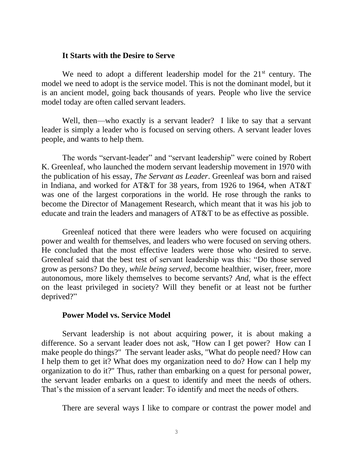### **It Starts with the Desire to Serve**

We need to adopt a different leadership model for the  $21<sup>st</sup>$  century. The model we need to adopt is the service model. This is not the dominant model, but it is an ancient model, going back thousands of years. People who live the service model today are often called servant leaders.

Well, then—who exactly is a servant leader? I like to say that a servant leader is simply a leader who is focused on serving others. A servant leader loves people, and wants to help them.

The words "servant-leader" and "servant leadership" were coined by Robert K. Greenleaf, who launched the modern servant leadership movement in 1970 with the publication of his essay, *The Servant as Leader*. Greenleaf was born and raised in Indiana, and worked for AT&T for 38 years, from 1926 to 1964, when AT&T was one of the largest corporations in the world. He rose through the ranks to become the Director of Management Research, which meant that it was his job to educate and train the leaders and managers of AT&T to be as effective as possible.

Greenleaf noticed that there were leaders who were focused on acquiring power and wealth for themselves, and leaders who were focused on serving others. He concluded that the most effective leaders were those who desired to serve. Greenleaf said that the best test of servant leadership was this: "Do those served grow as persons? Do they, *while being served*, become healthier, wiser, freer, more autonomous, more likely themselves to become servants? *And*, what is the effect on the least privileged in society? Will they benefit or at least not be further deprived?"

### **Power Model vs. Service Model**

Servant leadership is not about acquiring power, it is about making a difference. So a servant leader does not ask, "How can I get power? How can I make people do things?" The servant leader asks, "What do people need? How can I help them to get it? What does my organization need to do? How can I help my organization to do it?" Thus, rather than embarking on a quest for personal power, the servant leader embarks on a quest to identify and meet the needs of others. That's the mission of a servant leader: To identify and meet the needs of others.

There are several ways I like to compare or contrast the power model and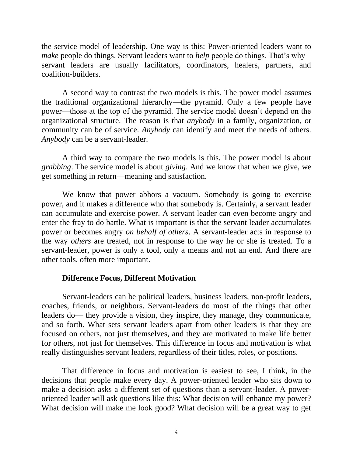the service model of leadership. One way is this: Power-oriented leaders want to *make* people do things. Servant leaders want to *help* people do things. That's why servant leaders are usually facilitators, coordinators, healers, partners, and coalition-builders.

A second way to contrast the two models is this. The power model assumes the traditional organizational hierarchy—the pyramid. Only a few people have power—those at the top of the pyramid. The service model doesn't depend on the organizational structure. The reason is that *anybody* in a family, organization, or community can be of service. *Anybody* can identify and meet the needs of others. *Anybody* can be a servant-leader.

A third way to compare the two models is this. The power model is about *grabbing*. The service model is about *giving*. And we know that when we give, we get something in return—meaning and satisfaction.

We know that power abhors a vacuum. Somebody is going to exercise power, and it makes a difference who that somebody is. Certainly, a servant leader can accumulate and exercise power. A servant leader can even become angry and enter the fray to do battle. What is important is that the servant leader accumulates power or becomes angry *on behalf of others*. A servant-leader acts in response to the way *others* are treated, not in response to the way he or she is treated. To a servant-leader, power is only a tool, only a means and not an end. And there are other tools, often more important.

# **Difference Focus, Different Motivation**

Servant-leaders can be political leaders, business leaders, non-profit leaders, coaches, friends, or neighbors. Servant-leaders do most of the things that other leaders do— they provide a vision, they inspire, they manage, they communicate, and so forth. What sets servant leaders apart from other leaders is that they are focused on others, not just themselves, and they are motivated to make life better for others, not just for themselves. This difference in focus and motivation is what really distinguishes servant leaders, regardless of their titles, roles, or positions.

That difference in focus and motivation is easiest to see, I think, in the decisions that people make every day. A power-oriented leader who sits down to make a decision asks a different set of questions than a servant-leader. A poweroriented leader will ask questions like this: What decision will enhance my power? What decision will make me look good? What decision will be a great way to get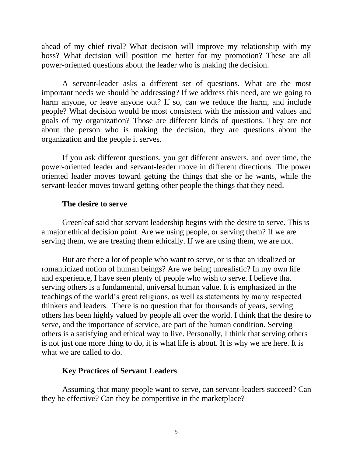ahead of my chief rival? What decision will improve my relationship with my boss? What decision will position me better for my promotion? These are all power-oriented questions about the leader who is making the decision.

A servant-leader asks a different set of questions. What are the most important needs we should be addressing? If we address this need, are we going to harm anyone, or leave anyone out? If so, can we reduce the harm, and include people? What decision would be most consistent with the mission and values and goals of my organization? Those are different kinds of questions. They are not about the person who is making the decision, they are questions about the organization and the people it serves.

If you ask different questions, you get different answers, and over time, the power-oriented leader and servant-leader move in different directions. The power oriented leader moves toward getting the things that she or he wants, while the servant-leader moves toward getting other people the things that they need.

# **The desire to serve**

Greenleaf said that servant leadership begins with the desire to serve. This is a major ethical decision point. Are we using people, or serving them? If we are serving them, we are treating them ethically. If we are using them, we are not.

But are there a lot of people who want to serve, or is that an idealized or romanticized notion of human beings? Are we being unrealistic? In my own life and experience, I have seen plenty of people who wish to serve. I believe that serving others is a fundamental, universal human value. It is emphasized in the teachings of the world's great religions, as well as statements by many respected thinkers and leaders. There is no question that for thousands of years, serving others has been highly valued by people all over the world. I think that the desire to serve, and the importance of service, are part of the human condition. Serving others is a satisfying and ethical way to live. Personally, I think that serving others is not just one more thing to do, it is what life is about. It is why we are here. It is what we are called to do.

# **Key Practices of Servant Leaders**

Assuming that many people want to serve, can servant-leaders succeed? Can they be effective? Can they be competitive in the marketplace?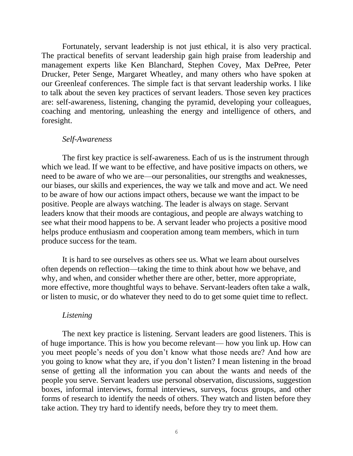Fortunately, servant leadership is not just ethical, it is also very practical. The practical benefits of servant leadership gain high praise from leadership and management experts like Ken Blanchard, Stephen Covey, Max DePree, Peter Drucker, Peter Senge, Margaret Wheatley, and many others who have spoken at our Greenleaf conferences. The simple fact is that servant leadership works. I like to talk about the seven key practices of servant leaders. Those seven key practices are: self-awareness, listening, changing the pyramid, developing your colleagues, coaching and mentoring, unleashing the energy and intelligence of others, and foresight.

#### *Self-Awareness*

The first key practice is self-awareness. Each of us is the instrument through which we lead. If we want to be effective, and have positive impacts on others, we need to be aware of who we are—our personalities, our strengths and weaknesses, our biases, our skills and experiences, the way we talk and move and act. We need to be aware of how our actions impact others, because we want the impact to be positive. People are always watching. The leader is always on stage. Servant leaders know that their moods are contagious, and people are always watching to see what their mood happens to be. A servant leader who projects a positive mood helps produce enthusiasm and cooperation among team members, which in turn produce success for the team.

It is hard to see ourselves as others see us. What we learn about ourselves often depends on reflection—taking the time to think about how we behave, and why, and when, and consider whether there are other, better, more appropriate, more effective, more thoughtful ways to behave. Servant-leaders often take a walk, or listen to music, or do whatever they need to do to get some quiet time to reflect.

#### *Listening*

The next key practice is listening. Servant leaders are good listeners. This is of huge importance. This is how you become relevant— how you link up. How can you meet people's needs of you don't know what those needs are? And how are you going to know what they are, if you don't listen? I mean listening in the broad sense of getting all the information you can about the wants and needs of the people you serve. Servant leaders use personal observation, discussions, suggestion boxes, informal interviews, formal interviews, surveys, focus groups, and other forms of research to identify the needs of others. They watch and listen before they take action. They try hard to identify needs, before they try to meet them.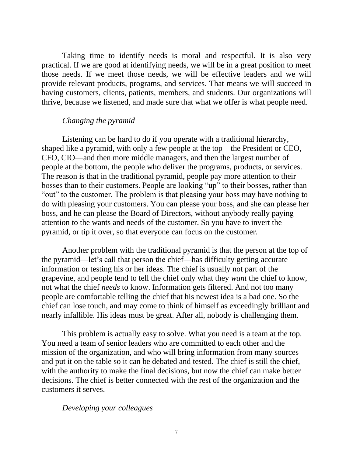Taking time to identify needs is moral and respectful. It is also very practical. If we are good at identifying needs, we will be in a great position to meet those needs. If we meet those needs, we will be effective leaders and we will provide relevant products, programs, and services. That means we will succeed in having customers, clients, patients, members, and students. Our organizations will thrive, because we listened, and made sure that what we offer is what people need.

### *Changing the pyramid*

Listening can be hard to do if you operate with a traditional hierarchy, shaped like a pyramid, with only a few people at the top—the President or CEO, CFO, CIO—and then more middle managers, and then the largest number of people at the bottom, the people who deliver the programs, products, or services. The reason is that in the traditional pyramid, people pay more attention to their bosses than to their customers. People are looking "up" to their bosses, rather than "out" to the customer. The problem is that pleasing your boss may have nothing to do with pleasing your customers. You can please your boss, and she can please her boss, and he can please the Board of Directors, without anybody really paying attention to the wants and needs of the customer. So you have to invert the pyramid, or tip it over, so that everyone can focus on the customer.

Another problem with the traditional pyramid is that the person at the top of the pyramid—let's call that person the chief—has difficulty getting accurate information or testing his or her ideas. The chief is usually not part of the grapevine, and people tend to tell the chief only what they *want* the chief to know, not what the chief *needs* to know. Information gets filtered. And not too many people are comfortable telling the chief that his newest idea is a bad one. So the chief can lose touch, and may come to think of himself as exceedingly brilliant and nearly infallible. His ideas must be great. After all, nobody is challenging them.

This problem is actually easy to solve. What you need is a team at the top. You need a team of senior leaders who are committed to each other and the mission of the organization, and who will bring information from many sources and put it on the table so it can be debated and tested. The chief is still the chief, with the authority to make the final decisions, but now the chief can make better decisions. The chief is better connected with the rest of the organization and the customers it serves.

### *Developing your colleagues*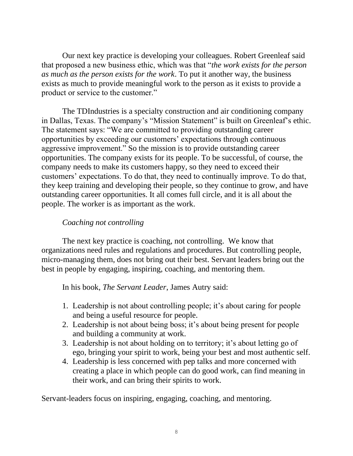Our next key practice is developing your colleagues. Robert Greenleaf said that proposed a new business ethic, which was that "*the work exists for the person as much as the person exists for the work*. To put it another way, the business exists as much to provide meaningful work to the person as it exists to provide a product or service to the customer."

The TDIndustries is a specialty construction and air conditioning company in Dallas, Texas. The company's "Mission Statement" is built on Greenleaf's ethic. The statement says: "We are committed to providing outstanding career opportunities by exceeding our customers' expectations through continuous aggressive improvement." So the mission is to provide outstanding career opportunities. The company exists for its people. To be successful, of course, the company needs to make its customers happy, so they need to exceed their customers' expectations. To do that, they need to continually improve. To do that, they keep training and developing their people, so they continue to grow, and have outstanding career opportunities. It all comes full circle, and it is all about the people. The worker is as important as the work.

# *Coaching not controlling*

The next key practice is coaching, not controlling. We know that organizations need rules and regulations and procedures. But controlling people, micro-managing them, does not bring out their best. Servant leaders bring out the best in people by engaging, inspiring, coaching, and mentoring them.

In his book, *The Servant Leader*, James Autry said:

- 1. Leadership is not about controlling people; it's about caring for people and being a useful resource for people.
- 2. Leadership is not about being boss; it's about being present for people and building a community at work.
- 3. Leadership is not about holding on to territory; it's about letting go of ego, bringing your spirit to work, being your best and most authentic self.
- 4. Leadership is less concerned with pep talks and more concerned with creating a place in which people can do good work, can find meaning in their work, and can bring their spirits to work.

Servant-leaders focus on inspiring, engaging, coaching, and mentoring.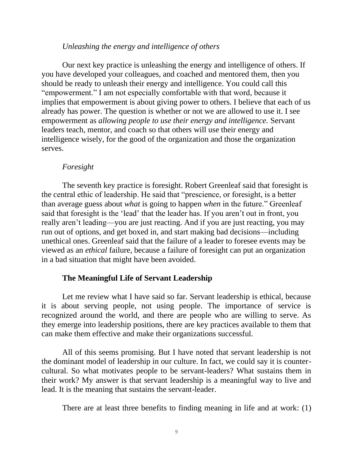### *Unleashing the energy and intelligence of others*

Our next key practice is unleashing the energy and intelligence of others. If you have developed your colleagues, and coached and mentored them, then you should be ready to unleash their energy and intelligence. You could call this "empowerment." I am not especially comfortable with that word, because it implies that empowerment is about giving power to others. I believe that each of us already has power. The question is whether or not we are allowed to use it. I see empowerment as *allowing people to use their energy and intelligence.* Servant leaders teach, mentor, and coach so that others will use their energy and intelligence wisely, for the good of the organization and those the organization serves.

### *Foresight*

The seventh key practice is foresight. Robert Greenleaf said that foresight is the central ethic of leadership. He said that "prescience, or foresight, is a better than average guess about *what* is going to happen *when* in the future." Greenleaf said that foresight is the 'lead' that the leader has. If you aren't out in front, you really aren't leading—you are just reacting. And if you are just reacting, you may run out of options, and get boxed in, and start making bad decisions—including unethical ones. Greenleaf said that the failure of a leader to foresee events may be viewed as an *ethical* failure, because a failure of foresight can put an organization in a bad situation that might have been avoided.

# **The Meaningful Life of Servant Leadership**

Let me review what I have said so far. Servant leadership is ethical, because it is about serving people, not using people. The importance of service is recognized around the world, and there are people who are willing to serve. As they emerge into leadership positions, there are key practices available to them that can make them effective and make their organizations successful.

All of this seems promising. But I have noted that servant leadership is not the dominant model of leadership in our culture. In fact, we could say it is countercultural. So what motivates people to be servant-leaders? What sustains them in their work? My answer is that servant leadership is a meaningful way to live and lead. It is the meaning that sustains the servant-leader.

There are at least three benefits to finding meaning in life and at work: (1)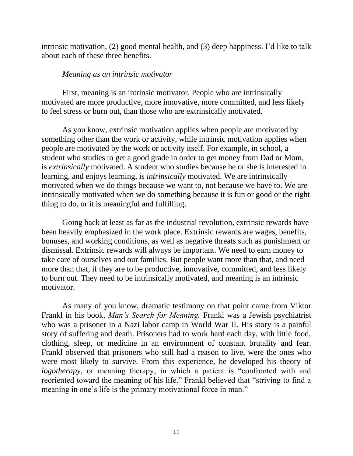intrinsic motivation, (2) good mental health, and (3) deep happiness. I'd like to talk about each of these three benefits.

# *Meaning as an intrinsic motivator*

First, meaning is an intrinsic motivator. People who are intrinsically motivated are more productive, more innovative, more committed, and less likely to feel stress or burn out, than those who are extrinsically motivated.

As you know, extrinsic motivation applies when people are motivated by something other than the work or activity, while intrinsic motivation applies when people are motivated by the work or activity itself. For example, in school, a student who studies to get a good grade in order to get money from Dad or Mom, is *extrinsically* motivated. A student who studies because he or she is interested in learning, and enjoys learning, is *intrinsically* motivated. We are intrinsically motivated when we do things because we want to, not because we have to. We are intrinsically motivated when we do something because it is fun or good or the right thing to do, or it is meaningful and fulfilling.

Going back at least as far as the industrial revolution, extrinsic rewards have been heavily emphasized in the work place. Extrinsic rewards are wages, benefits, bonuses, and working conditions, as well as negative threats such as punishment or dismissal. Extrinsic rewards will always be important. We need to earn money to take care of ourselves and our families. But people want more than that, and need more than that, if they are to be productive, innovative, committed, and less likely to burn out. They need to be intrinsically motivated, and meaning is an intrinsic motivator.

As many of you know, dramatic testimony on that point came from Viktor Frankl in his book, *Man's Search for Meaning.* Frankl was a Jewish psychiatrist who was a prisoner in a Nazi labor camp in World War II. His story is a painful story of suffering and death. Prisoners had to work hard each day, with little food, clothing, sleep, or medicine in an environment of constant brutality and fear. Frankl observed that prisoners who still had a reason to live, were the ones who were most likely to survive. From this experience, he developed his theory of *logotherapy*, or meaning therapy, in which a patient is "confronted with and reoriented toward the meaning of his life." Frankl believed that "striving to find a meaning in one's life is the primary motivational force in man."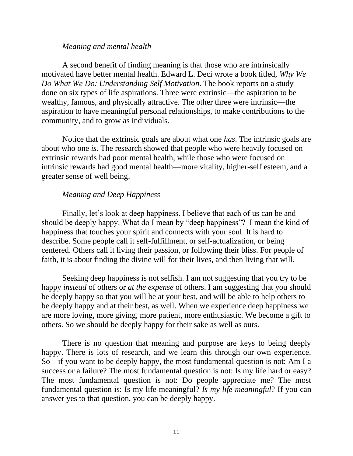### *Meaning and mental health*

A second benefit of finding meaning is that those who are intrinsically motivated have better mental health. Edward L. Deci wrote a book titled, *Why We Do What We Do: Understanding Self Motivation*. The book reports on a study done on six types of life aspirations. Three were extrinsic—the aspiration to be wealthy, famous, and physically attractive. The other three were intrinsic—the aspiration to have meaningful personal relationships, to make contributions to the community, and to grow as individuals.

Notice that the extrinsic goals are about what one *has*. The intrinsic goals are about who one *is*. The research showed that people who were heavily focused on extrinsic rewards had poor mental health, while those who were focused on intrinsic rewards had good mental health—more vitality, higher-self esteem, and a greater sense of well being.

# *Meaning and Deep Happiness*

Finally, let's look at deep happiness. I believe that each of us can be and should be deeply happy. What do I mean by "deep happiness"? I mean the kind of happiness that touches your spirit and connects with your soul. It is hard to describe. Some people call it self-fulfillment, or self-actualization, or being centered. Others call it living their passion, or following their bliss. For people of faith, it is about finding the divine will for their lives, and then living that will.

Seeking deep happiness is not selfish. I am not suggesting that you try to be happy *instead* of others or *at the expense* of others. I am suggesting that you should be deeply happy so that you will be at your best, and will be able to help others to be deeply happy and at their best, as well. When we experience deep happiness we are more loving, more giving, more patient, more enthusiastic. We become a gift to others. So we should be deeply happy for their sake as well as ours.

There is no question that meaning and purpose are keys to being deeply happy. There is lots of research, and we learn this through our own experience. So—if you want to be deeply happy, the most fundamental question is not: Am I a success or a failure? The most fundamental question is not: Is my life hard or easy? The most fundamental question is not: Do people appreciate me? The most fundamental question is: Is my life meaningful? *Is my life meaningful*? If you can answer yes to that question, you can be deeply happy.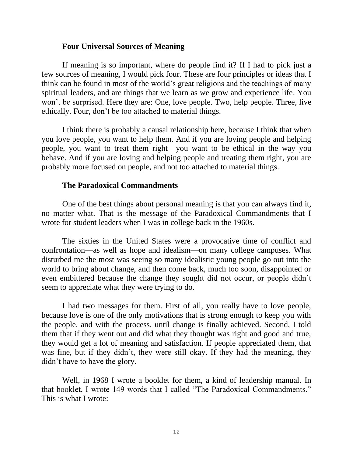### **Four Universal Sources of Meaning**

If meaning is so important, where do people find it? If I had to pick just a few sources of meaning, I would pick four. These are four principles or ideas that I think can be found in most of the world's great religions and the teachings of many spiritual leaders, and are things that we learn as we grow and experience life. You won't be surprised. Here they are: One, love people. Two, help people. Three, live ethically. Four, don't be too attached to material things.

I think there is probably a causal relationship here, because I think that when you love people, you want to help them. And if you are loving people and helping people, you want to treat them right—you want to be ethical in the way you behave. And if you are loving and helping people and treating them right, you are probably more focused on people, and not too attached to material things.

# **The Paradoxical Commandments**

One of the best things about personal meaning is that you can always find it, no matter what. That is the message of the Paradoxical Commandments that I wrote for student leaders when I was in college back in the 1960s.

The sixties in the United States were a provocative time of conflict and confrontation—as well as hope and idealism—on many college campuses. What disturbed me the most was seeing so many idealistic young people go out into the world to bring about change, and then come back, much too soon, disappointed or even embittered because the change they sought did not occur, or people didn't seem to appreciate what they were trying to do.

I had two messages for them. First of all, you really have to love people, because love is one of the only motivations that is strong enough to keep you with the people, and with the process, until change is finally achieved. Second, I told them that if they went out and did what they thought was right and good and true, they would get a lot of meaning and satisfaction. If people appreciated them, that was fine, but if they didn't, they were still okay. If they had the meaning, they didn't have to have the glory.

Well, in 1968 I wrote a booklet for them, a kind of leadership manual. In that booklet, I wrote 149 words that I called "The Paradoxical Commandments." This is what I wrote: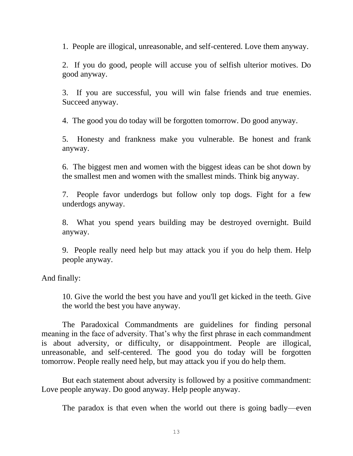1. People are illogical, unreasonable, and self-centered. Love them anyway.

2. If you do good, people will accuse you of selfish ulterior motives. Do good anyway.

3. If you are successful, you will win false friends and true enemies. Succeed anyway.

4. The good you do today will be forgotten tomorrow. Do good anyway.

5. Honesty and frankness make you vulnerable. Be honest and frank anyway.

6. The biggest men and women with the biggest ideas can be shot down by the smallest men and women with the smallest minds. Think big anyway.

7. People favor underdogs but follow only top dogs. Fight for a few underdogs anyway.

8. What you spend years building may be destroyed overnight. Build anyway.

9. People really need help but may attack you if you do help them. Help people anyway.

And finally:

10. Give the world the best you have and you'll get kicked in the teeth. Give the world the best you have anyway.

The Paradoxical Commandments are guidelines for finding personal meaning in the face of adversity. That's why the first phrase in each commandment is about adversity, or difficulty, or disappointment. People are illogical, unreasonable, and self-centered. The good you do today will be forgotten tomorrow. People really need help, but may attack you if you do help them.

But each statement about adversity is followed by a positive commandment: Love people anyway. Do good anyway. Help people anyway.

The paradox is that even when the world out there is going badly—even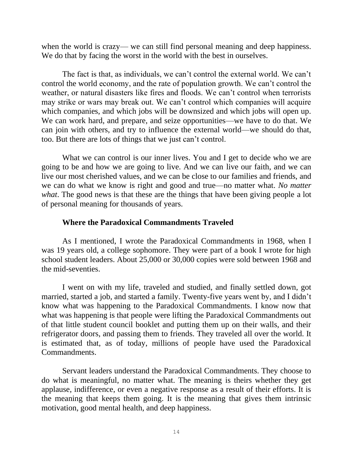when the world is crazy— we can still find personal meaning and deep happiness. We do that by facing the worst in the world with the best in ourselves.

The fact is that, as individuals, we can't control the external world. We can't control the world economy, and the rate of population growth. We can't control the weather, or natural disasters like fires and floods. We can't control when terrorists may strike or wars may break out. We can't control which companies will acquire which companies, and which jobs will be downsized and which jobs will open up. We can work hard, and prepare, and seize opportunities—we have to do that. We can join with others, and try to influence the external world—we should do that, too. But there are lots of things that we just can't control.

What we can control is our inner lives. You and I get to decide who we are going to be and how we are going to live. And we can live our faith, and we can live our most cherished values, and we can be close to our families and friends, and we can do what we know is right and good and true—no matter what. *No matter what*. The good news is that these are the things that have been giving people a lot of personal meaning for thousands of years.

# **Where the Paradoxical Commandments Traveled**

As I mentioned, I wrote the Paradoxical Commandments in 1968, when I was 19 years old, a college sophomore. They were part of a book I wrote for high school student leaders. About 25,000 or 30,000 copies were sold between 1968 and the mid-seventies.

I went on with my life, traveled and studied, and finally settled down, got married, started a job, and started a family. Twenty-five years went by, and I didn't know what was happening to the Paradoxical Commandments. I know now that what was happening is that people were lifting the Paradoxical Commandments out of that little student council booklet and putting them up on their walls, and their refrigerator doors, and passing them to friends. They traveled all over the world. It is estimated that, as of today, millions of people have used the Paradoxical Commandments.

Servant leaders understand the Paradoxical Commandments. They choose to do what is meaningful, no matter what. The meaning is theirs whether they get applause, indifference, or even a negative response as a result of their efforts. It is the meaning that keeps them going. It is the meaning that gives them intrinsic motivation, good mental health, and deep happiness.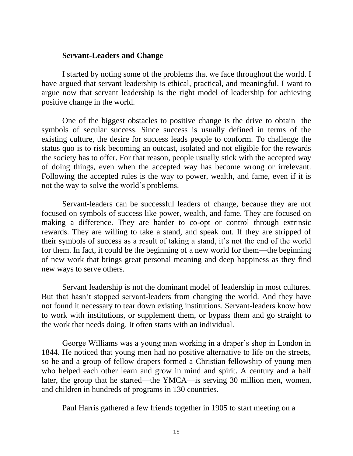### **Servant-Leaders and Change**

I started by noting some of the problems that we face throughout the world. I have argued that servant leadership is ethical, practical, and meaningful. I want to argue now that servant leadership is the right model of leadership for achieving positive change in the world.

One of the biggest obstacles to positive change is the drive to obtain the symbols of secular success. Since success is usually defined in terms of the existing culture, the desire for success leads people to conform. To challenge the status quo is to risk becoming an outcast, isolated and not eligible for the rewards the society has to offer. For that reason, people usually stick with the accepted way of doing things, even when the accepted way has become wrong or irrelevant. Following the accepted rules is the way to power, wealth, and fame, even if it is not the way to solve the world's problems.

Servant-leaders can be successful leaders of change, because they are not focused on symbols of success like power, wealth, and fame. They are focused on making a difference. They are harder to co-opt or control through extrinsic rewards. They are willing to take a stand, and speak out. If they are stripped of their symbols of success as a result of taking a stand, it's not the end of the world for them. In fact, it could be the beginning of a new world for them—the beginning of new work that brings great personal meaning and deep happiness as they find new ways to serve others.

Servant leadership is not the dominant model of leadership in most cultures. But that hasn't stopped servant-leaders from changing the world. And they have not found it necessary to tear down existing institutions. Servant-leaders know how to work with institutions, or supplement them, or bypass them and go straight to the work that needs doing. It often starts with an individual.

George Williams was a young man working in a draper's shop in London in 1844. He noticed that young men had no positive alternative to life on the streets, so he and a group of fellow drapers formed a Christian fellowship of young men who helped each other learn and grow in mind and spirit. A century and a half later, the group that he started—the YMCA—is serving 30 million men, women, and children in hundreds of programs in 130 countries.

Paul Harris gathered a few friends together in 1905 to start meeting on a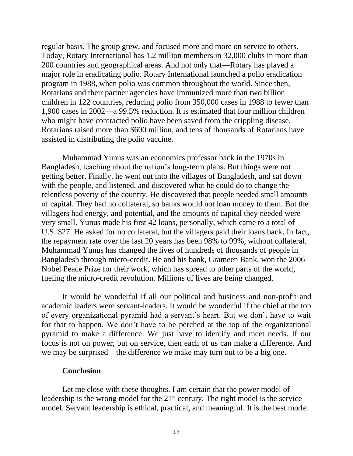regular basis. The group grew, and focused more and more on service to others. Today, Rotary International has 1.2 million members in 32,000 clubs in more than 200 countries and geographical areas. And not only that—Rotary has played a major role in eradicating polio. Rotary International launched a polio eradication program in 1988, when polio was common throughout the world. Since then, Rotarians and their partner agencies have immunized more than two billion children in 122 countries, reducing polio from 350,000 cases in 1988 to fewer than 1,900 cases in 2002—a 99.5% reduction. It is estimated that four million children who might have contracted polio have been saved from the crippling disease. Rotarians raised more than \$600 million, and tens of thousands of Rotarians have assisted in distributing the polio vaccine.

Muhammad Yunus was an economics professor back in the 1970s in Bangladesh, teaching about the nation's long-term plans. But things were not getting better. Finally, he went out into the villages of Bangladesh, and sat down with the people, and listened, and discovered what he could do to change the relentless poverty of the country. He discovered that people needed small amounts of capital. They had no collateral, so banks would not loan money to them. But the villagers had energy, and potential, and the amounts of capital they needed were very small. Yunus made his first 42 loans, personally, which came to a total of U.S. \$27. He asked for no collateral, but the villagers paid their loans back. In fact, the repayment rate over the last 20 years has been 98% to 99%, without collateral. Muhammad Yunus has changed the lives of hundreds of thousands of people in Bangladesh through micro-credit. He and his bank, Grameen Bank, won the 2006 Nobel Peace Prize for their work, which has spread to other parts of the world, fueling the micro-credit revolution. Millions of lives are being changed.

It would be wonderful if all our political and business and non-profit and academic leaders were servant-leaders. It would be wonderful if the chief at the top of every organizational pyramid had a servant's heart. But we don't have to wait for that to happen. We don't have to be perched at the top of the organizational pyramid to make a difference. We just have to identify and meet needs. If our focus is not on power, but on service, then each of us can make a difference. And we may be surprised—the difference we make may turn out to be a big one.

### **Conclusion**

Let me close with these thoughts. I am certain that the power model of leadership is the wrong model for the  $21<sup>st</sup>$  century. The right model is the service model. Servant leadership is ethical, practical, and meaningful. It is the best model